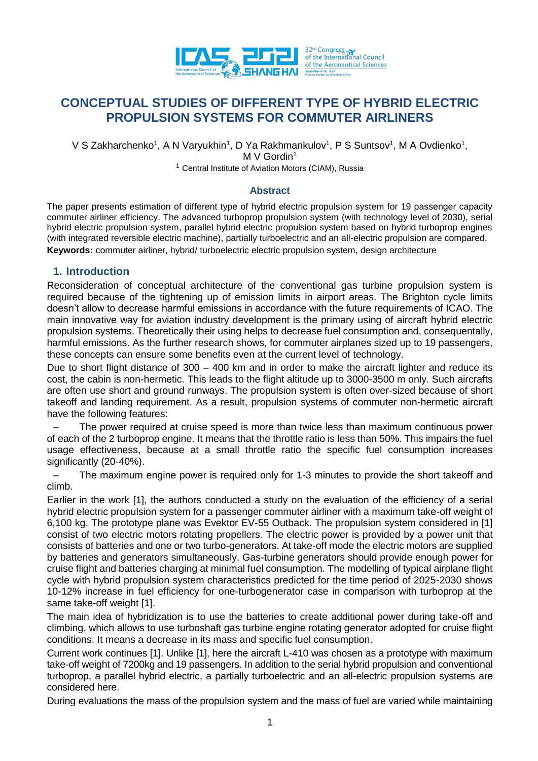

# **CONCEPTUAL STUDIES OF DIFFERENT TYPE OF HYBRID ELECTRIC PROPULSION SYSTEMS FOR COMMUTER AIRLINERS**

V S Zakharchenko<sup>1</sup>, A N Varyukhin<sup>1</sup>, D Ya Rakhmankulov<sup>1</sup>, P S Suntsov<sup>1</sup>, M A Ovdienko<sup>1</sup>,

 $M V$  Gordin<sup>1</sup>

<sup>1</sup> Central Institute of Aviation Motors (CIAM), Russia

#### **Abstract**

The paper presents estimation of different type of hybrid electric propulsion system for 19 passenger capacity commuter airliner efficiency. The advanced turboprop propulsion system (with technology level of 2030), serial hybrid electric propulsion system, parallel hybrid electric propulsion system based on hybrid turboprop engines (with integrated reversible electric machine), partially turboelectric and an all-electric propulsion are compared. **Keywords:** commuter airliner, hybrid/ turboelectric electric propulsion system, design architecture

#### **1. Introduction**

Reconsideration of conceptual architecture of the conventional gas turbine propulsion system is required because of the tightening up of emission limits in airport areas. The Brighton cycle limits doesn't allow to decrease harmful emissions in accordance with the future requirements of ICAO. The main innovative way for aviation industry development is the primary using of aircraft hybrid electric propulsion systems. Theoretically their using helps to decrease fuel consumption and, consequentally, harmful emissions. As the further research shows, for commuter airplanes sized up to 19 passengers, these concepts can ensure some benefits even at the current level of technology.

Due to short flight distance of 300 – 400 km and in order to make the aircraft lighter and reduce its cost, the cabin is non-hermetic. This leads to the flight altitude up to 3000-3500 m only. Such aircrafts are often use short and ground runways. The propulsion system is often over-sized because of short takeoff and landing requirement. As a result, propulsion systems of commuter non-hermetic aircraft have the following features:

– The power required at cruise speed is more than twice less than maximum continuous power of each of the 2 turboprop engine. It means that the throttle ratio is less than 50%. This impairs the fuel usage effectiveness, because at a small throttle ratio the specific fuel consumption increases significantly (20-40%).

– The maximum engine power is required only for 1-3 minutes to provide the short takeoff and climb.

Earlier in the work [1], the authors conducted a study on the evaluation of the efficiency of a serial hybrid electric propulsion system for a passenger commuter airliner with a maximum take-off weight of 6,100 kg. The prototype plane was Evektor EV-55 Outback. The propulsion system considered in [1] consist of two electric motors rotating propellers. The electric power is provided by a power unit that consists of batteries and one or two turbo-generators. At take-off mode the electric motors are supplied by batteries and generators simultaneously. Gas-turbine generators should provide enough power for cruise flight and batteries charging at minimal fuel consumption. The modelling of typical airplane flight cycle with hybrid propulsion system characteristics predicted for the time period of 2025-2030 shows 10-12% increase in fuel efficiency for one-turbogenerator case in comparison with turboprop at the same take-off weight [1].

The main idea of hybridization is to use the batteries to create additional power during take-off and climbing, which allows to use turboshaft gas turbine engine rotating generator adopted for cruise flight conditions. It means a decrease in its mass and specific fuel consumption.

Current work continues [1]. Unlike [1], here the aircraft L-410 was chosen as a prototype with maximum take-off weight of 7200kg and 19 passengers. In addition to the serial hybrid propulsion and conventional turboprop, a parallel hybrid electric, a partially turboelectric and an all-electric propulsion systems are considered here.

During evaluations the mass of the propulsion system and the mass of fuel are varied while maintaining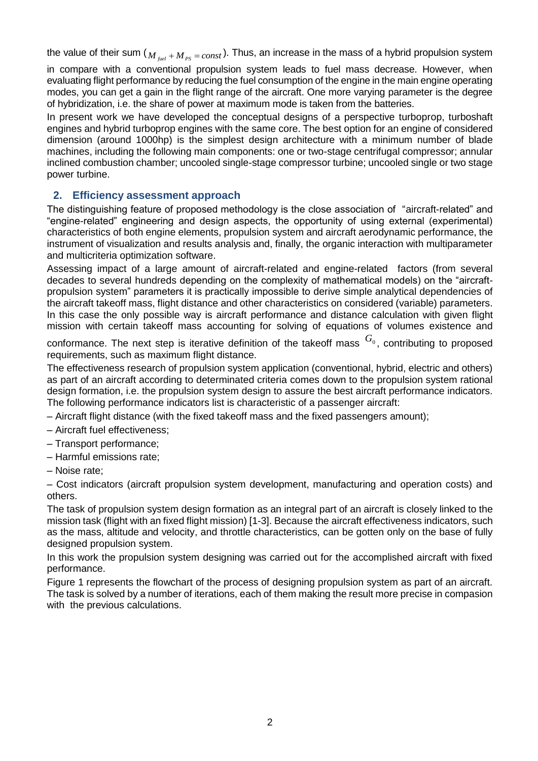the value of their sum ( $M_{\scriptscriptstyle{fuel}}$  +  $M_{\scriptscriptstyle{PS}}$  =  $const$ ). Thus, an increase in the mass of a hybrid propulsion system

in compare with a conventional propulsion system leads to fuel mass decrease. However, when evaluating flight performance by reducing the fuel consumption of the engine in the main engine operating modes, you can get a gain in the flight range of the aircraft. One more varying parameter is the degree of hybridization, i.e. the share of power at maximum mode is taken from the batteries.

In present work we have developed the conceptual designs of a perspective turboprop, turboshaft engines and hybrid turboprop engines with the same core. The best option for an engine of considered dimension (around 1000hp) is the simplest design architecture with a minimum number of blade machines, including the following main components: one or two-stage centrifugal compressor; annular inclined combustion chamber; uncooled single-stage compressor turbine; uncooled single or two stage power turbine.

# **2. Efficiency assessment approach**

The distinguishing feature of proposed methodology is the close association of "aircraft-related" and "engine-related" engineering and design aspects, the opportunity of using external (experimental) characteristics of both engine elements, propulsion system and aircraft aerodynamic performance, the instrument of visualization and results analysis and, finally, the organic interaction with multiparameter and multicriteria optimization software.

Assessing impact of a large amount of aircraft-related and engine-related factors (from several decades to several hundreds depending on the complexity of mathematical models) on the "aircraftpropulsion system" parameters it is practically impossible to derive simple analytical dependencies of the aircraft takeoff mass, flight distance and other characteristics on considered (variable) parameters. In this case the only possible way is aircraft performance and distance calculation with given flight mission with certain takeoff mass accounting for solving of equations of volumes existence and

conformance. The next step is iterative definition of the takeoff mass  $G_0$ , contributing to proposed requirements, such as maximum flight distance.

The effectiveness research of propulsion system application (conventional, hybrid, electric and others) as part of an aircraft according to determinated criteria comes down to the propulsion system rational design formation, i.e. the propulsion system design to assure the best aircraft performance indicators. The following performance indicators list is characteristic of a passenger aircraft:

– Aircraft flight distance (with the fixed takeoff mass and the fixed passengers amount);

- Aircraft fuel effectiveness;
- Transport performance;
- Harmful emissions rate;
- Noise rate;

– Cost indicators (aircraft propulsion system development, manufacturing and operation costs) and others.

The task of propulsion system design formation as an integral part of an aircraft is closely linked to the mission task (flight with an fixed flight mission) [1-3]. Because the aircraft effectiveness indicators, such as the mass, altitude and velocity, and throttle characteristics, can be gotten only on the base of fully designed propulsion system.

In this work the propulsion system designing was carried out for the accomplished aircraft with fixed performance.

Figure 1 represents the flowchart of the process of designing propulsion system as part of an aircraft. The task is solved by a number of iterations, each of them making the result more precise in compasion with the previous calculations.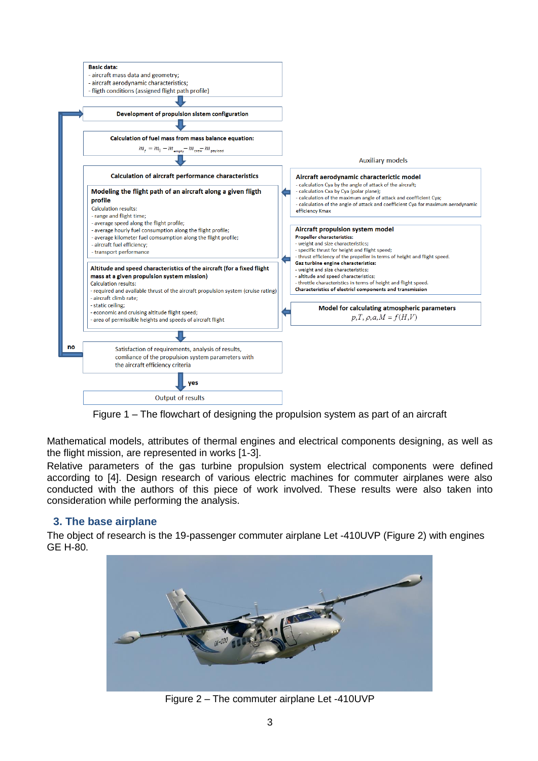

Figure 1 – The flowchart of designing the propulsion system as part of an aircraft

Mathematical models, attributes of thermal engines and electrical components designing, as well as the flight mission, are represented in works [1-3].

Relative parameters of the gas turbine propulsion system electrical components were defined according to [4]. Design research of various electric machines for commuter airplanes were also conducted with the authors of this piece of work involved. These results were also taken into consideration while performing the analysis.

# **3. The base airplane**

The object of research is the 19-passenger commuter airplane Let -410UVP (Figure 2) with engines GE H-80.



Figure 2 – The commuter airplane Let -410UVP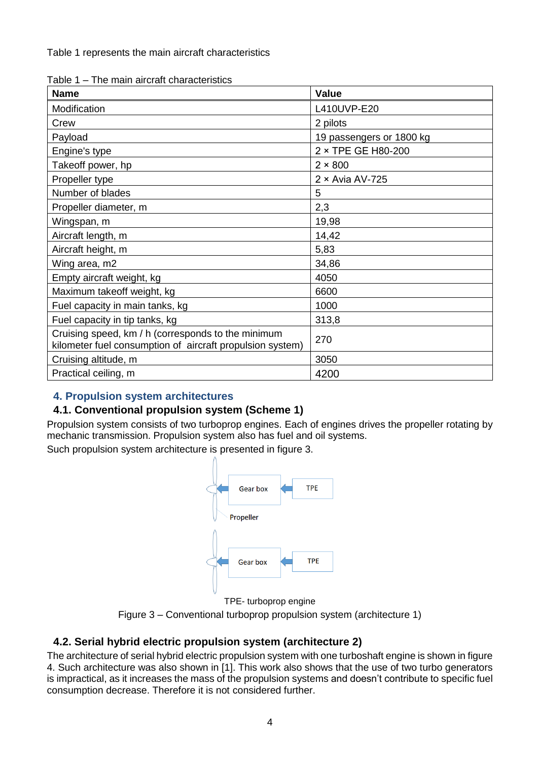Table 1 represents the main aircraft characteristics

Table 1 – The main aircraft characteristics

| <b>Name</b>                                                                                                     | Value                    |
|-----------------------------------------------------------------------------------------------------------------|--------------------------|
| Modification                                                                                                    | L410UVP-E20              |
| Crew                                                                                                            | 2 pilots                 |
| Payload                                                                                                         | 19 passengers or 1800 kg |
| Engine's type                                                                                                   | 2 × TPE GE H80-200       |
| Takeoff power, hp                                                                                               | $2 \times 800$           |
| Propeller type                                                                                                  | $2 \times$ Avia AV-725   |
| Number of blades                                                                                                | 5                        |
| Propeller diameter, m                                                                                           | 2,3                      |
| Wingspan, m                                                                                                     | 19,98                    |
| Aircraft length, m                                                                                              | 14,42                    |
| Aircraft height, m                                                                                              | 5,83                     |
| Wing area, m2                                                                                                   | 34,86                    |
| Empty aircraft weight, kg                                                                                       | 4050                     |
| Maximum takeoff weight, kg                                                                                      | 6600                     |
| Fuel capacity in main tanks, kg                                                                                 | 1000                     |
| Fuel capacity in tip tanks, kg                                                                                  | 313,8                    |
| Cruising speed, km / h (corresponds to the minimum<br>kilometer fuel consumption of aircraft propulsion system) | 270                      |
| Cruising altitude, m                                                                                            | 3050                     |
| Practical ceiling, m                                                                                            | 4200                     |

# **4. Propulsion system architectures**

# **4.1. Conventional propulsion system (Scheme 1)**

Propulsion system consists of two turboprop engines. Each of engines drives the propeller rotating by mechanic transmission. Propulsion system also has fuel and oil systems.

Such propulsion system architecture is presented in figure 3.



TPE- turboprop engine

Figure 3 – Conventional turboprop propulsion system (architecture 1)

# **4.2. Serial hybrid electric propulsion system (architecture 2)**

The architecture of serial hybrid electric propulsion system with one turboshaft engine is shown in figure 4. Such architecture was also shown in [1]. This work also shows that the use of two turbo generators is impractical, as it increases the mass of the propulsion systems and doesn't contribute to specific fuel consumption decrease. Therefore it is not considered further.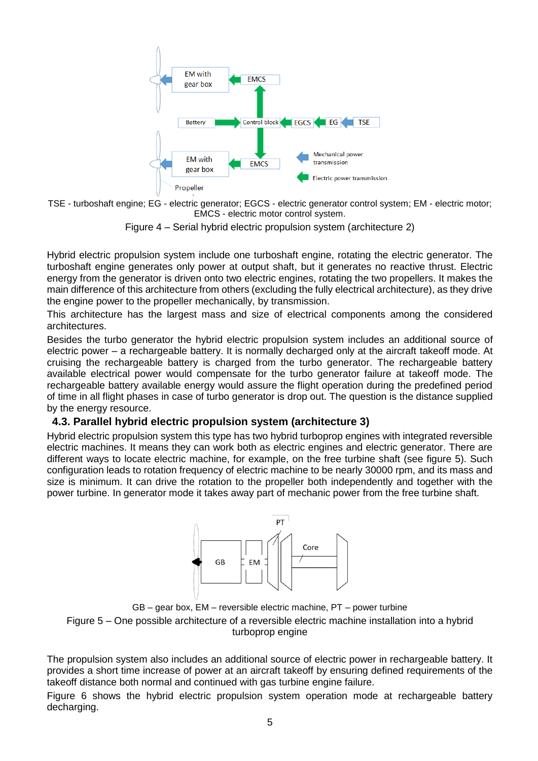

TSE - turboshaft engine; EG - electric generator; EGCS - electric generator control system; EM - electric motor; EMCS - electric motor control system.

Figure 4 – Serial hybrid electric propulsion system (architecture 2)

Hybrid electric propulsion system include one turboshaft engine, rotating the electric generator. The turboshaft engine generates only power at output shaft, but it generates no reactive thrust. Electric energy from the generator is driven onto two electric engines, rotating the two propellers. It makes the main difference of this architecture from others (excluding the fully electrical architecture), as they drive the engine power to the propeller mechanically, by transmission.

This architecture has the largest mass and size of electrical components among the considered architectures.

Besides the turbo generator the hybrid electric propulsion system includes an additional source of electric power – a rechargeable battery. It is normally decharged only at the aircraft takeoff mode. At cruising the rechargeable battery is charged from the turbo generator. The rechargeable battery available electrical power would compensate for the turbo generator failure at takeoff mode. The rechargeable battery available energy would assure the flight operation during the predefined period of time in all flight phases in case of turbo generator is drop out. The question is the distance supplied by the energy resource.

# **4.3. Parallel hybrid electric propulsion system (architecture 3)**

Hybrid electric propulsion system this type has two hybrid turboprop engines with integrated reversible electric machines. It means they can work both as electric engines and electric generator. There are different ways to locate electric machine, for example, on the free turbine shaft (see figure 5). Such configuration leads to rotation frequency of electric machine to be nearly 30000 rpm, and its mass and size is minimum. It can drive the rotation to the propeller both independently and together with the power turbine. In generator mode it takes away part of mechanic power from the free turbine shaft.



GB – gear box, EM – reversible electric machine, PT – power turbine Figure 5 – One possible architecture of a reversible electric machine installation into a hybrid turboprop engine

The propulsion system also includes an additional source of electric power in rechargeable battery. It provides a short time increase of power at an aircraft takeoff by ensuring defined requirements of the takeoff distance both normal and continued with gas turbine engine failure.

Figure 6 shows the hybrid electric propulsion system operation mode at rechargeable battery decharging.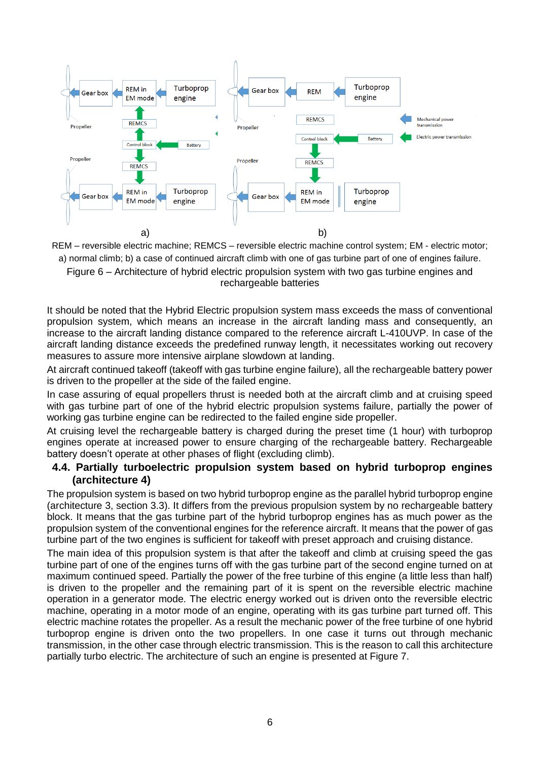

REM – reversible electric machine; REMCS – reversible electric machine control system; EM - electric motor; a) normal climb; b) a case of continued aircraft climb with one of gas turbine part of one of engines failure. Figure 6 – Architecture of hybrid electric propulsion system with two gas turbine engines and rechargeable batteries

It should be noted that the Hybrid Electric propulsion system mass exceeds the mass of conventional propulsion system, which means an increase in the aircraft landing mass and consequently, an increase to the aircraft landing distance compared to the reference aircraft L-410UVP. In case of the aircraft landing distance exceeds the predefined runway length, it necessitates working out recovery measures to assure more intensive airplane slowdown at landing.

At aircraft continued takeoff (takeoff with gas turbine engine failure), all the rechargeable battery power is driven to the propeller at the side of the failed engine.

In case assuring of equal propellers thrust is needed both at the aircraft climb and at cruising speed with gas turbine part of one of the hybrid electric propulsion systems failure, partially the power of working gas turbine engine can be redirected to the failed engine side propeller.

At cruising level the rechargeable battery is charged during the preset time (1 hour) with turboprop engines operate at increased power to ensure charging of the rechargeable battery. Rechargeable battery doesn't operate at other phases of flight (excluding climb).

# **4.4. Partially turboelectric propulsion system based on hybrid turboprop engines (architecture 4)**

The propulsion system is based on two hybrid turboprop engine as the parallel hybrid turboprop engine (architecture 3, section 3.3). It differs from the previous propulsion system by no rechargeable battery block. It means that the gas turbine part of the hybrid turboprop engines has as much power as the propulsion system of the conventional engines for the reference aircraft. It means that the power of gas turbine part of the two engines is sufficient for takeoff with preset approach and cruising distance.

The main idea of this propulsion system is that after the takeoff and climb at cruising speed the gas turbine part of one of the engines turns off with the gas turbine part of the second engine turned on at maximum continued speed. Partially the power of the free turbine of this engine (a little less than half) is driven to the propeller and the remaining part of it is spent on the reversible electric machine operation in a generator mode. The electric energy worked out is driven onto the reversible electric machine, operating in a motor mode of an engine, operating with its gas turbine part turned off. This electric machine rotates the propeller. As a result the mechanic power of the free turbine of one hybrid turboprop engine is driven onto the two propellers. In one case it turns out through mechanic transmission, in the other case through electric transmission. This is the reason to call this architecture partially turbo electric. The architecture of such an engine is presented at Figure 7.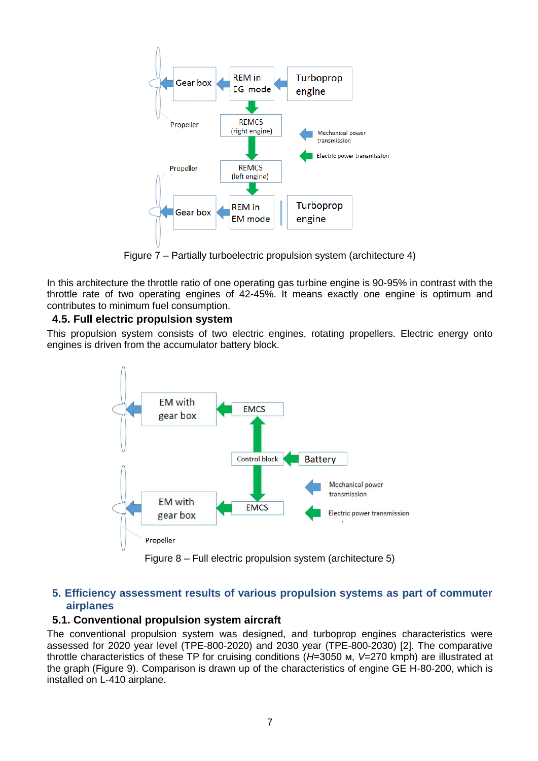

Figure 7 – Partially turboelectric propulsion system (architecture 4)

In this architecture the throttle ratio of one operating gas turbine engine is 90-95% in contrast with the throttle rate of two operating engines of 42-45%. It means exactly one engine is optimum and contributes to minimum fuel consumption.

# **4.5. Full electric propulsion system**

This propulsion system consists of two electric engines, rotating propellers. Electric energy onto engines is driven from the accumulator battery block.



Figure 8 – Full electric propulsion system (architecture 5)

# **5. Efficiency assessment results of various propulsion systems as part of commuter airplanes**

# **5.1. Conventional propulsion system aircraft**

The conventional propulsion system was designed, and turboprop engines characteristics were assessed for 2020 year level (TPE-800-2020) and 2030 year (TPE-800-2030) [2]. The comparative throttle characteristics of these TP for cruising conditions (*H*=3050 м, *V*=270 kmph) are illustrated at the graph (Figure 9). Comparison is drawn up of the characteristics of engine GE H-80-200, which is installed on L-410 airplane.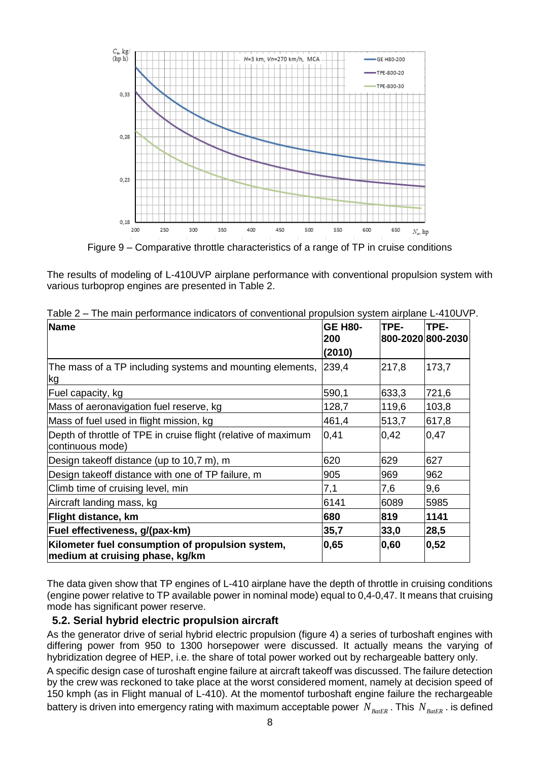

Figure 9 – Comparative throttle characteristics of a range of TP in cruise conditions

The results of modeling of L-410UVP airplane performance with conventional propulsion system with various turboprop engines are presented in Table 2.

| <b>Name</b>                                                                         | <b>GE H80-</b><br>200 | TPE-<br>800-2020 800-2030 | TPE-  |
|-------------------------------------------------------------------------------------|-----------------------|---------------------------|-------|
|                                                                                     | (2010)                |                           |       |
| The mass of a TP including systems and mounting elements,<br>kg                     | 239,4                 | 217,8                     | 173,7 |
| Fuel capacity, kg                                                                   | 590,1                 | 633,3                     | 721,6 |
| Mass of aeronavigation fuel reserve, kg                                             | 128,7                 | 119,6                     | 103,8 |
| Mass of fuel used in flight mission, kg                                             | 461,4                 | 513,7                     | 617,8 |
| Depth of throttle of TPE in cruise flight (relative of maximum<br>continuous mode)  | 0,41                  | 0,42                      | 0,47  |
| Design take off distance (up to 10,7 m), m                                          | 620                   | 629                       | 627   |
| Design takeoff distance with one of TP failure, m                                   | 905                   | 969                       | 962   |
| Climb time of cruising level, min                                                   | 7,1                   | 7,6                       | 9,6   |
| Aircraft landing mass, kg                                                           | 6141                  | 6089                      | 5985  |
| Flight distance, km                                                                 | 680                   | 819                       | 1141  |
| Fuel effectiveness, g/(pax-km)                                                      | 35,7                  | 33,0                      | 28,5  |
| Kilometer fuel consumption of propulsion system,<br>medium at cruising phase, kg/km | 0,65                  | 0,60                      | 0,52  |

Table 2 – The main performance indicators of conventional propulsion system airplane L-410UVP.

The data given show that TP engines of L-410 airplane have the depth of throttle in cruising conditions (engine power relative to TP available power in nominal mode) equal to 0,4-0,47. It means that cruising mode has significant power reserve.

#### **5.2. Serial hybrid electric propulsion aircraft**

As the generator drive of serial hybrid electric propulsion (figure 4) a series of turboshaft engines with differing power from 950 to 1300 horsepower were discussed. It actually means the varying of hybridization degree of HEP, i.e. the share of total power worked out by rechargeable battery only.

A specific design case of turoshaft engine failure at aircraft takeoff was discussed. The failure detection by the crew was reckoned to take place at the worst considered moment, namely at decision speed of 150 kmph (as in Flight manual of L-410). At the momentof turboshaft engine failure the rechargeable battery is driven into emergency rating with maximum acceptable power  $N_{\rm {\it BaE}R}$  . This  $N_{\rm {\it BaE}R}$  . is defined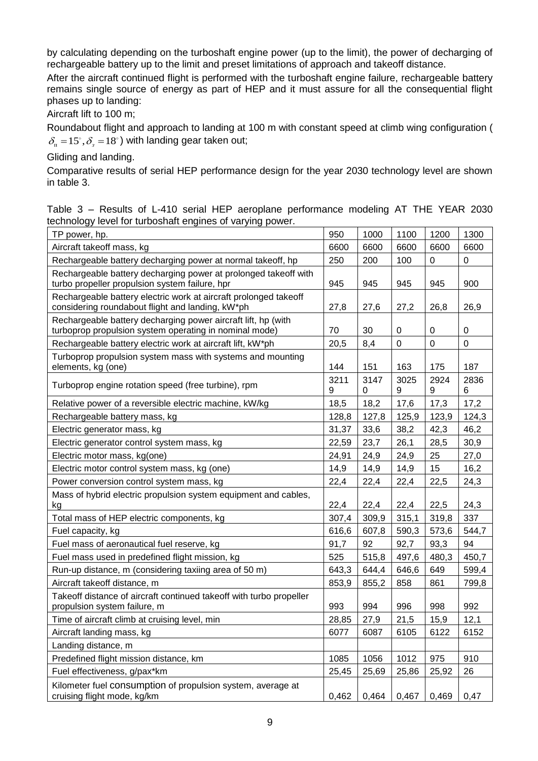by calculating depending on the turboshaft engine power (up to the limit), the power of decharging of rechargeable battery up to the limit and preset limitations of approach and takeoff distance.

After the aircraft continued flight is performed with the turboshaft engine failure, rechargeable battery remains single source of energy as part of HEP and it must assure for all the consequential flight phases up to landing:

Aircraft lift to 100 m;

Roundabout flight and approach to landing at 100 m with constant speed at climb wing configuration (  $\delta_{\textrm{\tiny{n}}}$  =15°, $\delta_{\textrm{\tiny{s}}}$  =18°) with landing gear taken out;

Gliding and landing.

Comparative results of serial HEP performance design for the year 2030 technology level are shown in table 3.

Table 3 – Results of L-410 serial HEP aeroplane performance modeling AT THE YEAR 2030 technology level for turboshaft engines of varying power.

| TP power, hp.                                                                                                           | 950       | 1000      | 1100        | 1200        | 1300        |
|-------------------------------------------------------------------------------------------------------------------------|-----------|-----------|-------------|-------------|-------------|
| Aircraft takeoff mass, kg                                                                                               | 6600      | 6600      | 6600        | 6600        | 6600        |
| Rechargeable battery decharging power at normal takeoff, hp                                                             | 250       | 200       | 100         | $\mathbf 0$ | 0           |
| Rechargeable battery decharging power at prolonged takeoff with<br>turbo propeller propulsion system failure, hpr       | 945       | 945       | 945         | 945         | 900         |
| Rechargeable battery electric work at aircraft prolonged takeoff<br>considering roundabout flight and landing, kW*ph    | 27,8      | 27,6      | 27,2        | 26,8        | 26,9        |
| Rechargeable battery decharging power aircraft lift, hp (with<br>turboprop propulsion system operating in nominal mode) | 70        | 30        | 0           | 0           | 0           |
| Rechargeable battery electric work at aircraft lift, kW*ph                                                              | 20,5      | 8,4       | $\mathbf 0$ | $\mathbf 0$ | $\mathbf 0$ |
| Turboprop propulsion system mass with systems and mounting<br>elements, kg (one)                                        | 144       | 151       | 163         | 175         | 187         |
| Turboprop engine rotation speed (free turbine), rpm                                                                     | 3211<br>9 | 3147<br>0 | 3025<br>9   | 2924<br>9   | 2836<br>6   |
| Relative power of a reversible electric machine, kW/kg                                                                  | 18,5      | 18,2      | 17,6        | 17,3        | 17,2        |
| Rechargeable battery mass, kg                                                                                           | 128,8     | 127,8     | 125,9       | 123,9       | 124,3       |
| Electric generator mass, kg                                                                                             | 31,37     | 33,6      | 38,2        | 42,3        | 46,2        |
| Electric generator control system mass, kg                                                                              | 22,59     | 23,7      | 26,1        | 28,5        | 30,9        |
| Electric motor mass, kg(one)                                                                                            | 24,91     | 24,9      | 24,9        | 25          | 27,0        |
| Electric motor control system mass, kg (one)                                                                            | 14,9      | 14,9      | 14,9        | 15          | 16,2        |
| Power conversion control system mass, kg                                                                                | 22,4      | 22,4      | 22,4        | 22,5        | 24,3        |
| Mass of hybrid electric propulsion system equipment and cables,<br>kg                                                   | 22,4      | 22,4      | 22,4        | 22,5        | 24,3        |
| Total mass of HEP electric components, kg                                                                               | 307,4     | 309,9     | 315,1       | 319,8       | 337         |
| Fuel capacity, kg                                                                                                       | 616,6     | 607,8     | 590,3       | 573,6       | 544,7       |
| Fuel mass of aeronautical fuel reserve, kg                                                                              | 91,7      | 92        | 92,7        | 93,3        | 94          |
| Fuel mass used in predefined flight mission, kg                                                                         | 525       | 515,8     | 497,6       | 480,3       | 450,7       |
| Run-up distance, m (considering taxiing area of 50 m)                                                                   | 643,3     | 644,4     | 646,6       | 649         | 599,4       |
| Aircraft takeoff distance, m                                                                                            | 853,9     | 855,2     | 858         | 861         | 799,8       |
| Takeoff distance of aircraft continued takeoff with turbo propeller<br>propulsion system failure, m                     | 993       | 994       | 996         | 998         | 992         |
| Time of aircraft climb at cruising level, min                                                                           | 28,85     | 27,9      | 21,5        | 15,9        | 12,1        |
| Aircraft landing mass, kg                                                                                               | 6077      | 6087      | 6105        | 6122        | 6152        |
| Landing distance, m                                                                                                     |           |           |             |             |             |
| Predefined flight mission distance, km                                                                                  | 1085      | 1056      | 1012        | 975         | 910         |
| Fuel effectiveness, g/pax*km                                                                                            | 25,45     | 25,69     | 25,86       | 25,92       | 26          |
| Kilometer fuel consumption of propulsion system, average at<br>cruising flight mode, kg/km                              | 0,462     | 0,464     | 0,467       | 0,469       | 0,47        |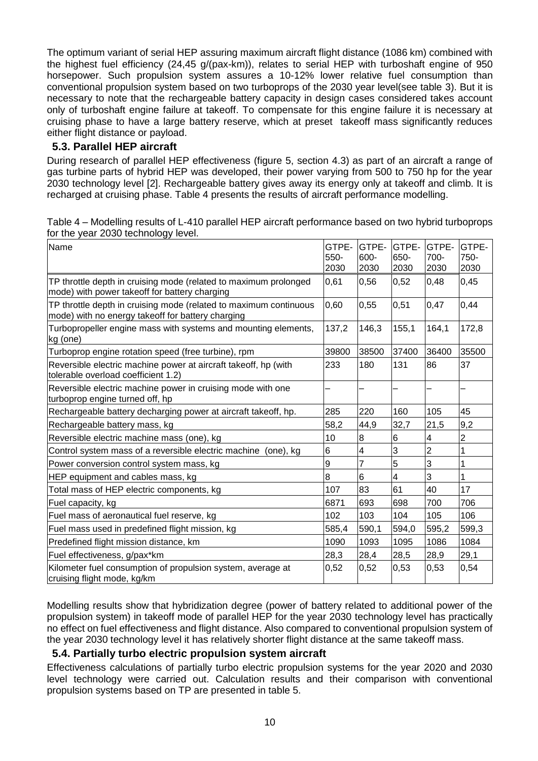The optimum variant of serial HEP assuring maximum aircraft flight distance (1086 km) combined with the highest fuel efficiency (24,45 g/(pax-km)), relates to serial HEP with turboshaft engine of 950 horsepower. Such propulsion system assures a 10-12% lower relative fuel consumption than conventional propulsion system based on two turboprops of the 2030 year level(see table 3). But it is necessary to note that the rechargeable battery capacity in design cases considered takes account only of turboshaft engine failure at takeoff. To compensate for this engine failure it is necessary at cruising phase to have a large battery reserve, which at preset takeoff mass significantly reduces either flight distance or payload.

# **5.3. Parallel HEP aircraft**

During research of parallel HEP effectiveness (figure 5, section 4.3) as part of an aircraft a range of gas turbine parts of hybrid HEP was developed, their power varying from 500 to 750 hp for the year 2030 technology level [2]. Rechargeable battery gives away its energy only at takeoff and climb. It is recharged at cruising phase. Table 4 presents the results of aircraft performance modelling.

|                                     | Table 4 – Modelling results of L-410 parallel HEP aircraft performance based on two hybrid turboprops |
|-------------------------------------|-------------------------------------------------------------------------------------------------------|
| for the year 2030 technology level. |                                                                                                       |

| Name                                                                                                                   | GTPE-<br>550-<br>2030 | GTPE-<br>600-<br>2030 | <b>GTPE-</b><br>650-<br>2030 | GTPE-<br>700-<br>2030 | GTPE-<br>750-<br>2030 |
|------------------------------------------------------------------------------------------------------------------------|-----------------------|-----------------------|------------------------------|-----------------------|-----------------------|
| TP throttle depth in cruising mode (related to maximum prolonged<br>mode) with power takeoff for battery charging      | 0,61                  | 0,56                  | 0,52                         | 0,48                  | 0,45                  |
| TP throttle depth in cruising mode (related to maximum continuous<br>mode) with no energy takeoff for battery charging | 0,60                  | 0,55                  | 0,51                         | 0,47                  | 0,44                  |
| Turbopropeller engine mass with systems and mounting elements,<br>kg (one)                                             | 137,2                 | 146,3                 | 155,1                        | 164,1                 | 172,8                 |
| Turboprop engine rotation speed (free turbine), rpm                                                                    | 39800                 | 38500                 | 37400                        | 36400                 | 35500                 |
| Reversible electric machine power at aircraft takeoff, hp (with<br>tolerable overload coefficient 1.2)                 | 233                   | 180                   | 131                          | 86                    | 37                    |
| Reversible electric machine power in cruising mode with one<br>turboprop engine turned off, hp                         |                       |                       |                              |                       |                       |
| Rechargeable battery decharging power at aircraft takeoff, hp.                                                         | 285                   | 220                   | 160                          | 105                   | 45                    |
| Rechargeable battery mass, kg                                                                                          | 58,2                  | 44,9                  | 32,7                         | 21,5                  | 9,2                   |
| Reversible electric machine mass (one), kg                                                                             | 10                    | 8                     | 6                            | 4                     | 2                     |
| Control system mass of a reversible electric machine (one), kg                                                         | 6                     | 4                     | 3                            | $\overline{2}$        | 1                     |
| Power conversion control system mass, kg                                                                               | 9                     | $\overline{7}$        | 5                            | $\overline{3}$        | 1                     |
| HEP equipment and cables mass, kg                                                                                      | 8                     | 6                     | 4                            | 3                     | 1                     |
| Total mass of HEP electric components, kg                                                                              | 107                   | 83                    | 61                           | 40                    | 17                    |
| Fuel capacity, kg                                                                                                      | 6871                  | 693                   | 698                          | 700                   | 706                   |
| Fuel mass of aeronautical fuel reserve, kg                                                                             | 102                   | 103                   | 104                          | 105                   | 106                   |
| Fuel mass used in predefined flight mission, kg                                                                        | 585,4                 | 590,1                 | 594,0                        | 595,2                 | 599,3                 |
| Predefined flight mission distance, km                                                                                 | 1090                  | 1093                  | 1095                         | 1086                  | 1084                  |
| Fuel effectiveness, g/pax*km                                                                                           | 28,3                  | 28,4                  | 28,5                         | 28,9                  | 29,1                  |
| Kilometer fuel consumption of propulsion system, average at<br>cruising flight mode, kg/km                             | 0,52                  | 0,52                  | 0,53                         | 0,53                  | 0,54                  |

Modelling results show that hybridization degree (power of battery related to additional power of the propulsion system) in takeoff mode of parallel HEP for the year 2030 technology level has practically no effect on fuel effectiveness and flight distance. Also compared to conventional propulsion system of the year 2030 technology level it has relatively shorter flight distance at the same takeoff mass.

# **5.4. Partially turbo electric propulsion system aircraft**

Effectiveness calculations of partially turbo electric propulsion systems for the year 2020 and 2030 level technology were carried out. Calculation results and their comparison with conventional propulsion systems based on TP are presented in table 5.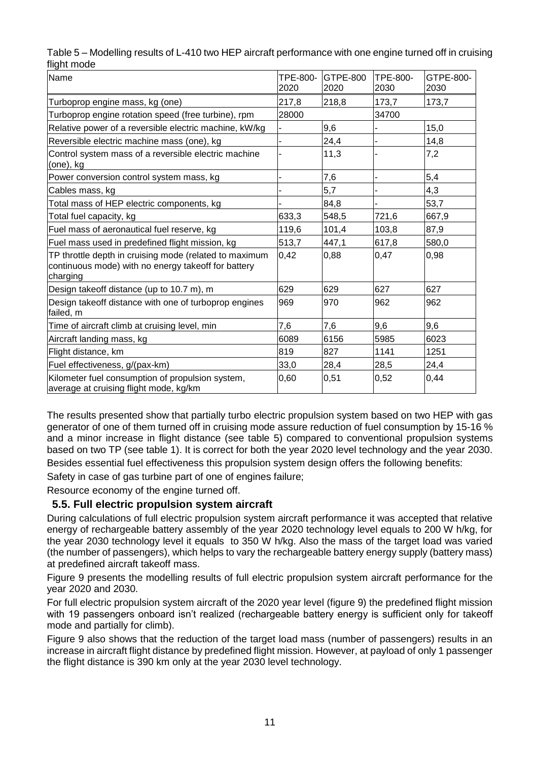| .                                                                                                                         |                  |                         |                         |                   |
|---------------------------------------------------------------------------------------------------------------------------|------------------|-------------------------|-------------------------|-------------------|
| Name                                                                                                                      | TPE-800-<br>2020 | <b>GTPE-800</b><br>2020 | <b>TPE-800-</b><br>2030 | GTPE-800-<br>2030 |
| Turboprop engine mass, kg (one)                                                                                           | 217,8            | 218,8                   | 173,7                   | 173,7             |
| Turboprop engine rotation speed (free turbine), rpm                                                                       | 28000            |                         | 34700                   |                   |
| Relative power of a reversible electric machine, kW/kg                                                                    |                  | 9,6                     |                         | 15,0              |
| Reversible electric machine mass (one), kg                                                                                |                  | 24,4                    |                         | 14,8              |
| Control system mass of a reversible electric machine<br>(one), kg                                                         |                  | 11,3                    |                         | 7,2               |
| Power conversion control system mass, kg                                                                                  |                  | 7,6                     |                         | 5,4               |
| Cables mass, kg                                                                                                           |                  | 5,7                     |                         | 4,3               |
| Total mass of HEP electric components, kg                                                                                 |                  | 84,8                    |                         | 53,7              |
| Total fuel capacity, kg                                                                                                   | 633,3            | 548,5                   | 721,6                   | 667,9             |
| Fuel mass of aeronautical fuel reserve, kg                                                                                | 119,6            | 101,4                   | 103,8                   | 87,9              |
| Fuel mass used in predefined flight mission, kg                                                                           | 513,7            | 447,1                   | 617,8                   | 580,0             |
| TP throttle depth in cruising mode (related to maximum<br>continuous mode) with no energy takeoff for battery<br>charging | 0,42             | 0,88                    | 0,47                    | 0,98              |
| Design takeoff distance (up to 10.7 m), m                                                                                 | 629              | 629                     | 627                     | 627               |
| Design takeoff distance with one of turboprop engines<br>failed, m                                                        | 969              | 970                     | 962                     | 962               |
| Time of aircraft climb at cruising level, min                                                                             | 7,6              | 7,6                     | 9,6                     | 9,6               |
| Aircraft landing mass, kg                                                                                                 | 6089             | 6156                    | 5985                    | 6023              |
| Flight distance, km                                                                                                       | 819              | 827                     | 1141                    | 1251              |
| Fuel effectiveness, g/(pax-km)                                                                                            | 33,0             | 28,4                    | 28,5                    | 24,4              |
| Kilometer fuel consumption of propulsion system,<br>average at cruising flight mode, kg/km                                | 0,60             | 0,51                    | 0,52                    | 0,44              |

Table 5 – Modelling results of L-410 two HEP aircraft performance with one engine turned off in cruising flight mode

The results presented show that partially turbo electric propulsion system based on two HEP with gas generator of one of them turned off in cruising mode assure reduction of fuel consumption by 15-16 % and a minor increase in flight distance (see table 5) compared to conventional propulsion systems based on two TP (see table 1). It is correct for both the year 2020 level technology and the year 2030. Besides essential fuel effectiveness this propulsion system design offers the following benefits:

Safety in case of gas turbine part of one of engines failure;

Resource economy of the engine turned off.

# **5.5. Full electric propulsion system aircraft**

During calculations of full electric propulsion system aircraft performance it was accepted that relative energy of rechargeable battery assembly of the year 2020 technology level equals to 200 W h/kg, for the year 2030 technology level it equals to 350 W h/kg. Also the mass of the target load was varied (the number of passengers), which helps to vary the rechargeable battery energy supply (battery mass) at predefined aircraft takeoff mass.

Figure 9 presents the modelling results of full electric propulsion system aircraft performance for the year 2020 and 2030.

For full electric propulsion system aircraft of the 2020 year level (figure 9) the predefined flight mission with 19 passengers onboard isn't realized (rechargeable battery energy is sufficient only for takeoff mode and partially for climb).

Figure 9 also shows that the reduction of the target load mass (number of passengers) results in an increase in aircraft flight distance by predefined flight mission. However, at payload of only 1 passenger the flight distance is 390 km only at the year 2030 level technology.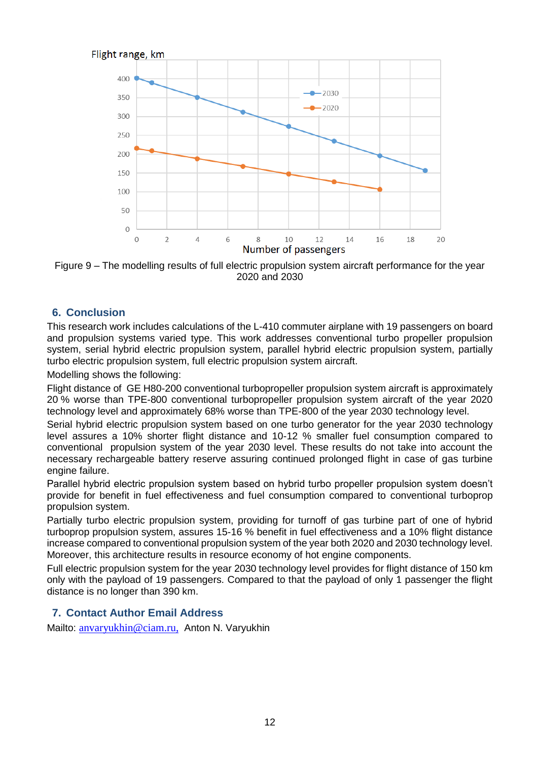



# **6. Conclusion**

This research work includes calculations of the L-410 commuter airplane with 19 passengers on board and propulsion systems varied type. This work addresses conventional turbo propeller propulsion system, serial hybrid electric propulsion system, parallel hybrid electric propulsion system, partially turbo electric propulsion system, full electric propulsion system aircraft.

Modelling shows the following:

Flight distance of GE H80-200 conventional turbopropeller propulsion system aircraft is approximately 20 % worse than TPE-800 conventional turbopropeller propulsion system aircraft of the year 2020 technology level and approximately 68% worse than TPE-800 of the year 2030 technology level.

Serial hybrid electric propulsion system based on one turbo generator for the year 2030 technology level assures a 10% shorter flight distance and 10-12 % smaller fuel consumption compared to conventional propulsion system of the year 2030 level. These results do not take into account the necessary rechargeable battery reserve assuring continued prolonged flight in case of gas turbine engine failure.

Parallel hybrid electric propulsion system based on hybrid turbo propeller propulsion system doesn't provide for benefit in fuel effectiveness and fuel consumption compared to conventional turboprop propulsion system.

Partially turbo electric propulsion system, providing for turnoff of gas turbine part of one of hybrid turboprop propulsion system, assures 15-16 % benefit in fuel effectiveness and a 10% flight distance increase compared to conventional propulsion system of the year both 2020 and 2030 technology level. Moreover, this architecture results in resource economy of hot engine components.

Full electric propulsion system for the year 2030 technology level provides for flight distance of 150 km only with the payload of 19 passengers. Compared to that the payload of only 1 passenger the flight distance is no longer than 390 km.

# **7. Contact Author Email Address**

Mailto: [anvaryukhin@ciam.ru,](mailto:anvaryukhin@ciam.ru) Anton N. Varyukhin